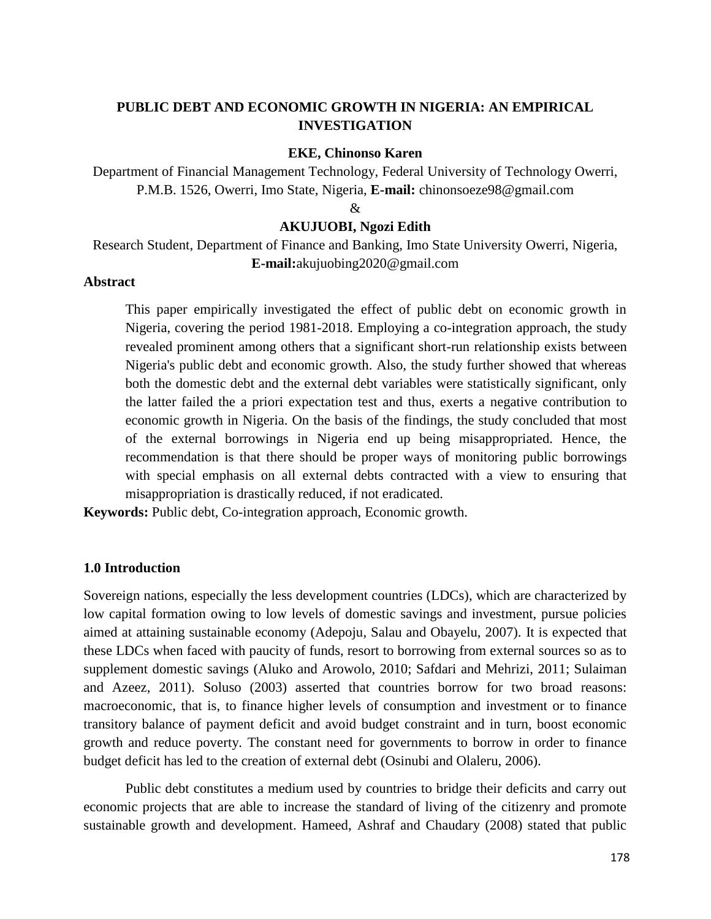# **PUBLIC DEBT AND ECONOMIC GROWTH IN NIGERIA: AN EMPIRICAL INVESTIGATION**

#### **EKE, Chinonso Karen**

Department of Financial Management Technology, Federal University of Technology Owerri, P.M.B. 1526, Owerri, Imo State, Nigeria, **E-mail:** chinonsoeze98@gmail.com

&

### **AKUJUOBI, Ngozi Edith**

Research Student, Department of Finance and Banking, Imo State University Owerri, Nigeria, **E-mail:**akujuobing2020@gmail.com

### **Abstract**

This paper empirically investigated the effect of public debt on economic growth in Nigeria, covering the period 1981-2018. Employing a co-integration approach, the study revealed prominent among others that a significant short-run relationship exists between Nigeria's public debt and economic growth. Also, the study further showed that whereas both the domestic debt and the external debt variables were statistically significant, only the latter failed the a priori expectation test and thus, exerts a negative contribution to economic growth in Nigeria. On the basis of the findings, the study concluded that most of the external borrowings in Nigeria end up being misappropriated. Hence, the recommendation is that there should be proper ways of monitoring public borrowings with special emphasis on all external debts contracted with a view to ensuring that misappropriation is drastically reduced, if not eradicated.

**Keywords:** Public debt, Co-integration approach, Economic growth.

## **1.0 Introduction**

Sovereign nations, especially the less development countries (LDCs), which are characterized by low capital formation owing to low levels of domestic savings and investment, pursue policies aimed at attaining sustainable economy (Adepoju, Salau and Obayelu, 2007). It is expected that these LDCs when faced with paucity of funds, resort to borrowing from external sources so as to supplement domestic savings (Aluko and Arowolo, 2010; Safdari and Mehrizi, 2011; Sulaiman and Azeez, 2011). Soluso (2003) asserted that countries borrow for two broad reasons: macroeconomic, that is, to finance higher levels of consumption and investment or to finance transitory balance of payment deficit and avoid budget constraint and in turn, boost economic growth and reduce poverty. The constant need for governments to borrow in order to finance budget deficit has led to the creation of external debt (Osinubi and Olaleru, 2006).

Public debt constitutes a medium used by countries to bridge their deficits and carry out economic projects that are able to increase the standard of living of the citizenry and promote sustainable growth and development. Hameed, Ashraf and Chaudary (2008) stated that public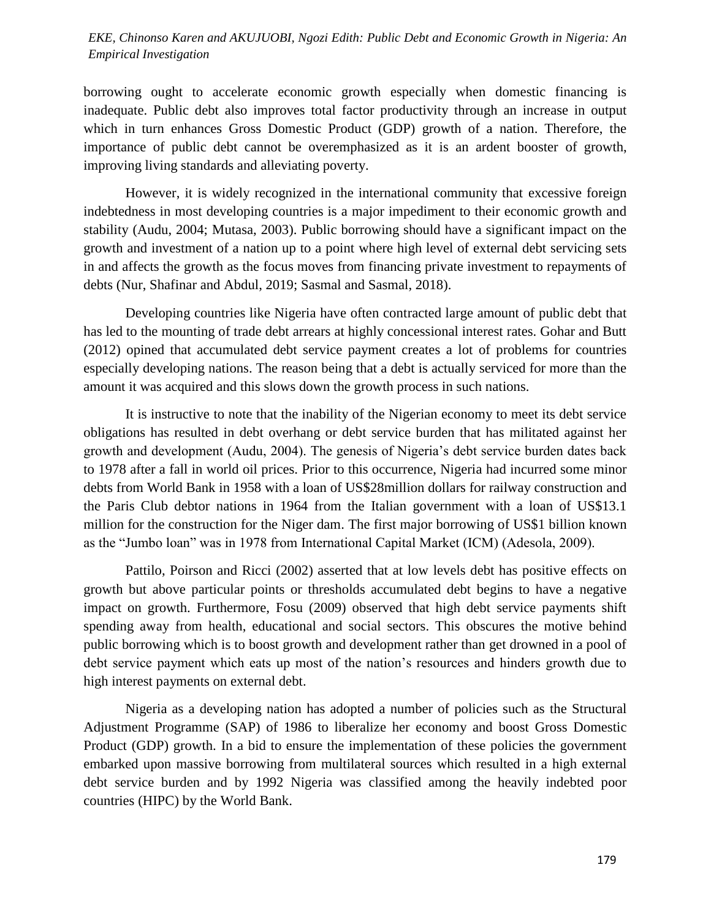# *International Journal of Development and Management Review (INJODEMAR) Vol. 16, No. 1 June, 2021 Empirical Investigation EKE, Chinonso Karen and AKUJUOBI, Ngozi Edith: Public Debt and Economic Growth in Nigeria: An*

borrowing ought to accelerate economic growth especially when domestic financing is inadequate. Public debt also improves total factor productivity through an increase in output which in turn enhances Gross Domestic Product (GDP) growth of a nation. Therefore, the importance of public debt cannot be overemphasized as it is an ardent booster of growth, improving living standards and alleviating poverty.

However, it is widely recognized in the international community that excessive foreign indebtedness in most developing countries is a major impediment to their economic growth and stability (Audu, 2004; Mutasa, 2003). Public borrowing should have a significant impact on the growth and investment of a nation up to a point where high level of external debt servicing sets in and affects the growth as the focus moves from financing private investment to repayments of debts (Nur, Shafinar and Abdul, 2019; Sasmal and Sasmal, 2018).

Developing countries like Nigeria have often contracted large amount of public debt that has led to the mounting of trade debt arrears at highly concessional interest rates. Gohar and Butt (2012) opined that accumulated debt service payment creates a lot of problems for countries especially developing nations. The reason being that a debt is actually serviced for more than the amount it was acquired and this slows down the growth process in such nations.

It is instructive to note that the inability of the Nigerian economy to meet its debt service obligations has resulted in debt overhang or debt service burden that has militated against her growth and development (Audu, 2004). The genesis of Nigeria's debt service burden dates back to 1978 after a fall in world oil prices. Prior to this occurrence, Nigeria had incurred some minor debts from World Bank in 1958 with a loan of US\$28million dollars for railway construction and the Paris Club debtor nations in 1964 from the Italian government with a loan of US\$13.1 million for the construction for the Niger dam. The first major borrowing of US\$1 billion known as the "Jumbo loan" was in 1978 from International Capital Market (ICM) (Adesola, 2009).

Pattilo, Poirson and Ricci (2002) asserted that at low levels debt has positive effects on growth but above particular points or thresholds accumulated debt begins to have a negative impact on growth. Furthermore, Fosu (2009) observed that high debt service payments shift spending away from health, educational and social sectors. This obscures the motive behind public borrowing which is to boost growth and development rather than get drowned in a pool of debt service payment which eats up most of the nation's resources and hinders growth due to high interest payments on external debt.

Nigeria as a developing nation has adopted a number of policies such as the Structural Adjustment Programme (SAP) of 1986 to liberalize her economy and boost Gross Domestic Product (GDP) growth. In a bid to ensure the implementation of these policies the government embarked upon massive borrowing from multilateral sources which resulted in a high external debt service burden and by 1992 Nigeria was classified among the heavily indebted poor countries (HIPC) by the World Bank.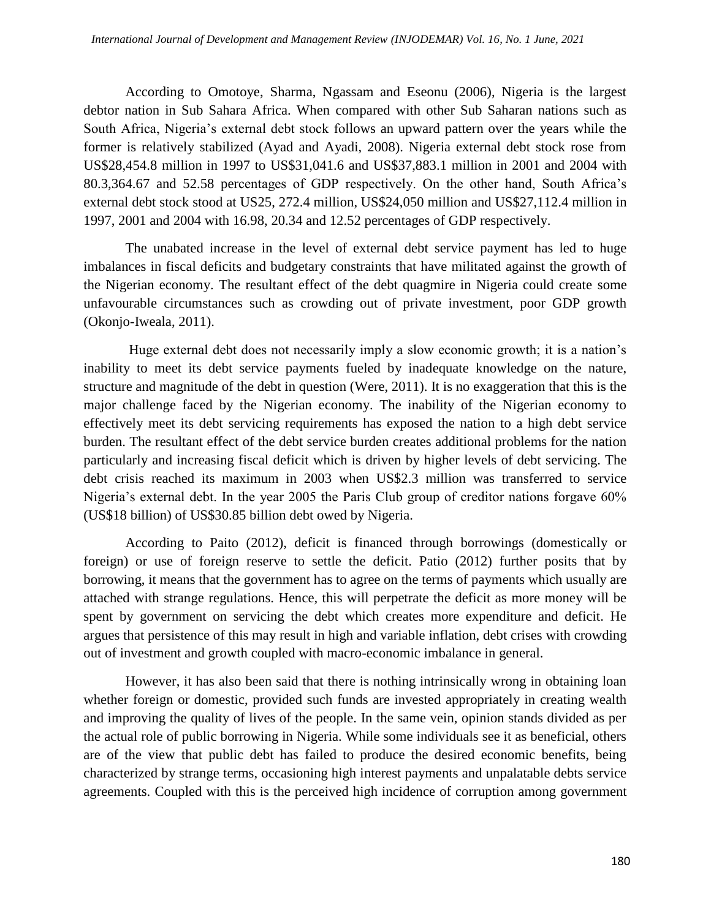According to Omotoye, Sharma, Ngassam and Eseonu (2006), Nigeria is the largest debtor nation in Sub Sahara Africa. When compared with other Sub Saharan nations such as South Africa, Nigeria's external debt stock follows an upward pattern over the years while the former is relatively stabilized (Ayad and Ayadi, 2008). Nigeria external debt stock rose from US\$28,454.8 million in 1997 to US\$31,041.6 and US\$37,883.1 million in 2001 and 2004 with 80.3,364.67 and 52.58 percentages of GDP respectively. On the other hand, South Africa's external debt stock stood at US25, 272.4 million, US\$24,050 million and US\$27,112.4 million in 1997, 2001 and 2004 with 16.98, 20.34 and 12.52 percentages of GDP respectively.

The unabated increase in the level of external debt service payment has led to huge imbalances in fiscal deficits and budgetary constraints that have militated against the growth of the Nigerian economy. The resultant effect of the debt quagmire in Nigeria could create some unfavourable circumstances such as crowding out of private investment, poor GDP growth (Okonjo-Iweala, 2011).

Huge external debt does not necessarily imply a slow economic growth; it is a nation's inability to meet its debt service payments fueled by inadequate knowledge on the nature, structure and magnitude of the debt in question (Were, 2011). It is no exaggeration that this is the major challenge faced by the Nigerian economy. The inability of the Nigerian economy to effectively meet its debt servicing requirements has exposed the nation to a high debt service burden. The resultant effect of the debt service burden creates additional problems for the nation particularly and increasing fiscal deficit which is driven by higher levels of debt servicing. The debt crisis reached its maximum in 2003 when US\$2.3 million was transferred to service Nigeria's external debt. In the year 2005 the Paris Club group of creditor nations forgave 60% (US\$18 billion) of US\$30.85 billion debt owed by Nigeria.

According to Paito (2012), deficit is financed through borrowings (domestically or foreign) or use of foreign reserve to settle the deficit. Patio (2012) further posits that by borrowing, it means that the government has to agree on the terms of payments which usually are attached with strange regulations. Hence, this will perpetrate the deficit as more money will be spent by government on servicing the debt which creates more expenditure and deficit. He argues that persistence of this may result in high and variable inflation, debt crises with crowding out of investment and growth coupled with macro-economic imbalance in general.

However, it has also been said that there is nothing intrinsically wrong in obtaining loan whether foreign or domestic, provided such funds are invested appropriately in creating wealth and improving the quality of lives of the people. In the same vein, opinion stands divided as per the actual role of public borrowing in Nigeria. While some individuals see it as beneficial, others are of the view that public debt has failed to produce the desired economic benefits, being characterized by strange terms, occasioning high interest payments and unpalatable debts service agreements. Coupled with this is the perceived high incidence of corruption among government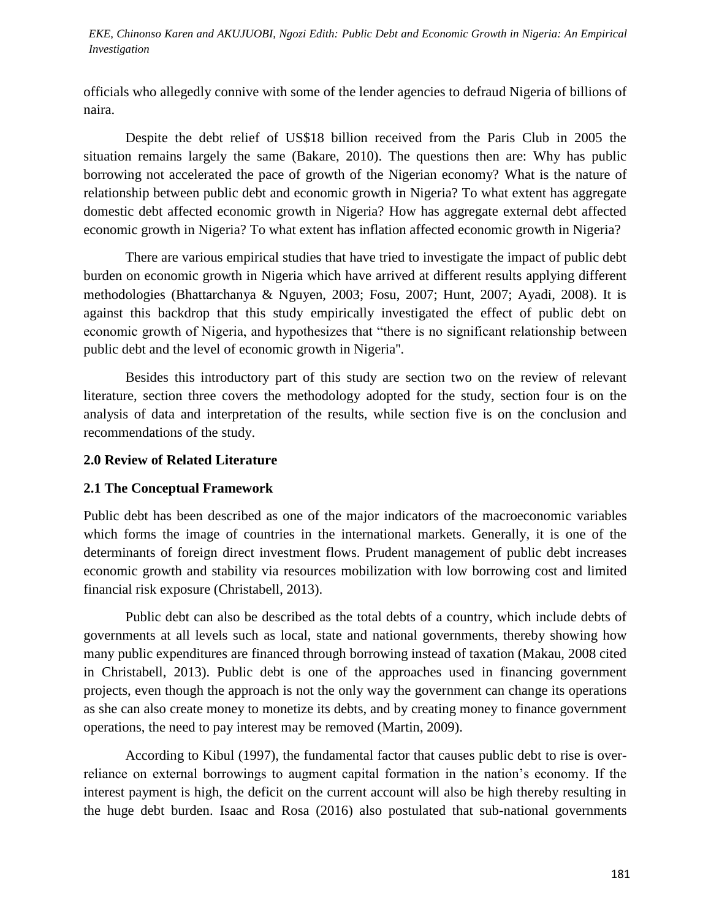*Investigation EKE, Chinonso Karen and AKUJUOBI, Ngozi Edith: Public Debt and Economic Growth in Nigeria: An Empirical* 

officials who allegedly connive with some of the lender agencies to defraud Nigeria of billions of naira.

Despite the debt relief of US\$18 billion received from the Paris Club in 2005 the situation remains largely the same (Bakare, 2010). The questions then are: Why has public borrowing not accelerated the pace of growth of the Nigerian economy? What is the nature of relationship between public debt and economic growth in Nigeria? To what extent has aggregate domestic debt affected economic growth in Nigeria? How has aggregate external debt affected economic growth in Nigeria? To what extent has inflation affected economic growth in Nigeria?

There are various empirical studies that have tried to investigate the impact of public debt burden on economic growth in Nigeria which have arrived at different results applying different methodologies (Bhattarchanya & Nguyen, 2003; Fosu, 2007; Hunt, 2007; Ayadi, 2008). It is against this backdrop that this study empirically investigated the effect of public debt on economic growth of Nigeria, and hypothesizes that "there is no significant relationship between public debt and the level of economic growth in Nigeria''.

Besides this introductory part of this study are section two on the review of relevant literature, section three covers the methodology adopted for the study, section four is on the analysis of data and interpretation of the results, while section five is on the conclusion and recommendations of the study.

## **2.0 Review of Related Literature**

# **2.1 The Conceptual Framework**

Public debt has been described as one of the major indicators of the macroeconomic variables which forms the image of countries in the international markets. Generally, it is one of the determinants of foreign direct investment flows. Prudent management of public debt increases economic growth and stability via resources mobilization with low borrowing cost and limited financial risk exposure (Christabell, 2013).

Public debt can also be described as the total debts of a country, which include debts of governments at all levels such as local, state and national governments, thereby showing how many public expenditures are financed through borrowing instead of taxation (Makau, 2008 cited in Christabell, 2013). Public debt is one of the approaches used in financing government projects, even though the approach is not the only way the government can change its operations as she can also create money to monetize its debts, and by creating money to finance government operations, the need to pay interest may be removed (Martin, 2009).

According to Kibul (1997), the fundamental factor that causes public debt to rise is overreliance on external borrowings to augment capital formation in the nation's economy. If the interest payment is high, the deficit on the current account will also be high thereby resulting in the huge debt burden. Isaac and Rosa (2016) also postulated that sub-national governments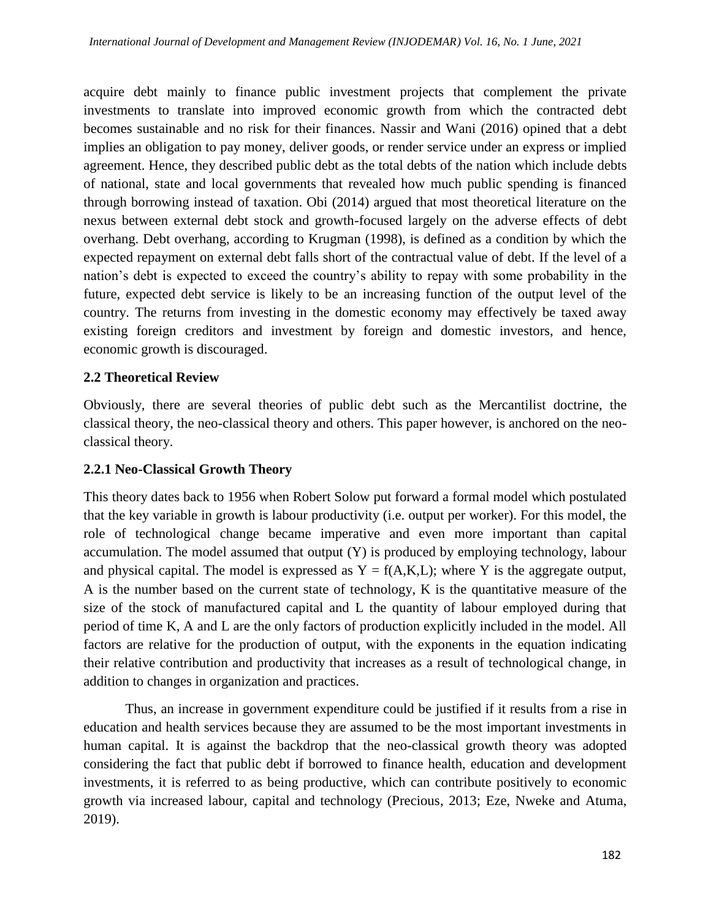acquire debt mainly to finance public investment projects that complement the private investments to translate into improved economic growth from which the contracted debt becomes sustainable and no risk for their finances. Nassir and Wani (2016) opined that a debt implies an obligation to pay money, deliver goods, or render service under an express or implied agreement. Hence, they described public debt as the total debts of the nation which include debts of national, state and local governments that revealed how much public spending is financed through borrowing instead of taxation. Obi (2014) argued that most theoretical literature on the nexus between external debt stock and growth-focused largely on the adverse effects of debt overhang. Debt overhang, according to Krugman (1998), is defined as a condition by which the expected repayment on external debt falls short of the contractual value of debt. If the level of a nation's debt is expected to exceed the country's ability to repay with some probability in the future, expected debt service is likely to be an increasing function of the output level of the country. The returns from investing in the domestic economy may effectively be taxed away existing foreign creditors and investment by foreign and domestic investors, and hence, economic growth is discouraged.

# **2.2 Theoretical Review**

Obviously, there are several theories of public debt such as the Mercantilist doctrine, the classical theory, the neo-classical theory and others. This paper however, is anchored on the neoclassical theory.

# **2.2.1 Neo-Classical Growth Theory**

This theory dates back to 1956 when Robert Solow put forward a formal model which postulated that the key variable in growth is labour productivity (i.e. output per worker). For this model, the role of technological change became imperative and even more important than capital accumulation. The model assumed that output (Y) is produced by employing technology, labour and physical capital. The model is expressed as  $Y = f(A,K,L)$ ; where Y is the aggregate output, A is the number based on the current state of technology, K is the quantitative measure of the size of the stock of manufactured capital and L the quantity of labour employed during that period of time K, A and L are the only factors of production explicitly included in the model. All factors are relative for the production of output, with the exponents in the equation indicating their relative contribution and productivity that increases as a result of technological change, in addition to changes in organization and practices.

Thus, an increase in government expenditure could be justified if it results from a rise in education and health services because they are assumed to be the most important investments in human capital. It is against the backdrop that the neo-classical growth theory was adopted considering the fact that public debt if borrowed to finance health, education and development investments, it is referred to as being productive, which can contribute positively to economic growth via increased labour, capital and technology (Precious, 2013; Eze, Nweke and Atuma, 2019).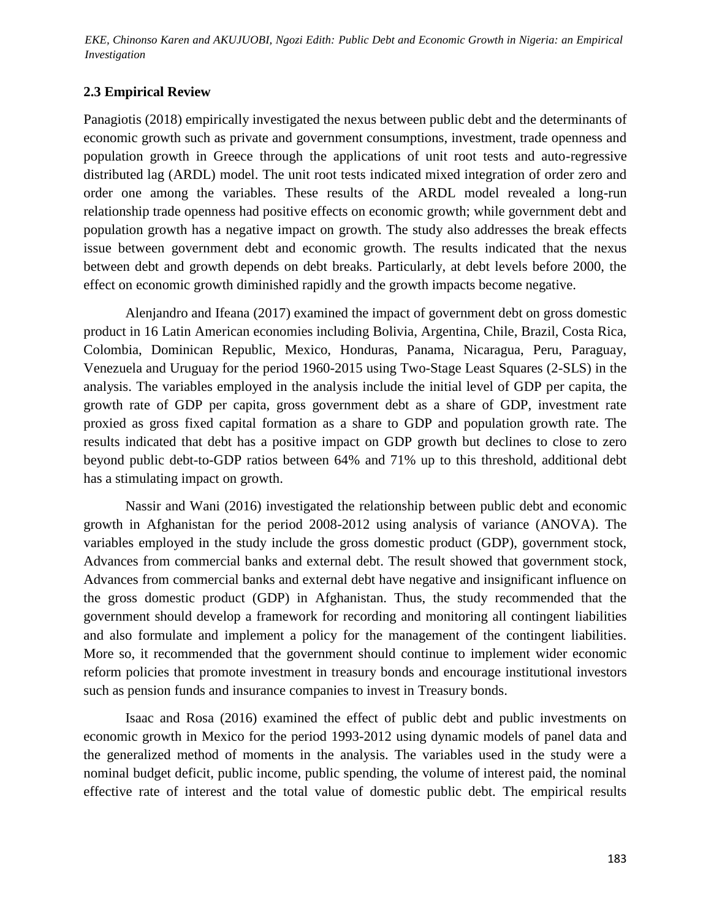EKE, Chinonso Karen and AKUJUOBI, Ngozi Edith: Public Debt and Economic Growth in Nigeria: an Empirical<br>Investigation *Investigation*

## **2.3 Empirical Review**

Panagiotis (2018) empirically investigated the nexus between public debt and the determinants of economic growth such as private and government consumptions, investment, trade openness and population growth in Greece through the applications of unit root tests and auto-regressive distributed lag (ARDL) model. The unit root tests indicated mixed integration of order zero and order one among the variables. These results of the ARDL model revealed a long-run relationship trade openness had positive effects on economic growth; while government debt and population growth has a negative impact on growth. The study also addresses the break effects issue between government debt and economic growth. The results indicated that the nexus between debt and growth depends on debt breaks. Particularly, at debt levels before 2000, the effect on economic growth diminished rapidly and the growth impacts become negative.

Alenjandro and Ifeana (2017) examined the impact of government debt on gross domestic product in 16 Latin American economies including Bolivia, Argentina, Chile, Brazil, Costa Rica, Colombia, Dominican Republic, Mexico, Honduras, Panama, Nicaragua, Peru, Paraguay, Venezuela and Uruguay for the period 1960-2015 using Two-Stage Least Squares (2-SLS) in the analysis. The variables employed in the analysis include the initial level of GDP per capita, the growth rate of GDP per capita, gross government debt as a share of GDP, investment rate proxied as gross fixed capital formation as a share to GDP and population growth rate. The results indicated that debt has a positive impact on GDP growth but declines to close to zero beyond public debt-to-GDP ratios between 64% and 71% up to this threshold, additional debt has a stimulating impact on growth.

Nassir and Wani (2016) investigated the relationship between public debt and economic growth in Afghanistan for the period 2008-2012 using analysis of variance (ANOVA). The variables employed in the study include the gross domestic product (GDP), government stock, Advances from commercial banks and external debt. The result showed that government stock, Advances from commercial banks and external debt have negative and insignificant influence on the gross domestic product (GDP) in Afghanistan. Thus, the study recommended that the government should develop a framework for recording and monitoring all contingent liabilities and also formulate and implement a policy for the management of the contingent liabilities. More so, it recommended that the government should continue to implement wider economic reform policies that promote investment in treasury bonds and encourage institutional investors such as pension funds and insurance companies to invest in Treasury bonds.

Isaac and Rosa (2016) examined the effect of public debt and public investments on economic growth in Mexico for the period 1993-2012 using dynamic models of panel data and the generalized method of moments in the analysis. The variables used in the study were a nominal budget deficit, public income, public spending, the volume of interest paid, the nominal effective rate of interest and the total value of domestic public debt. The empirical results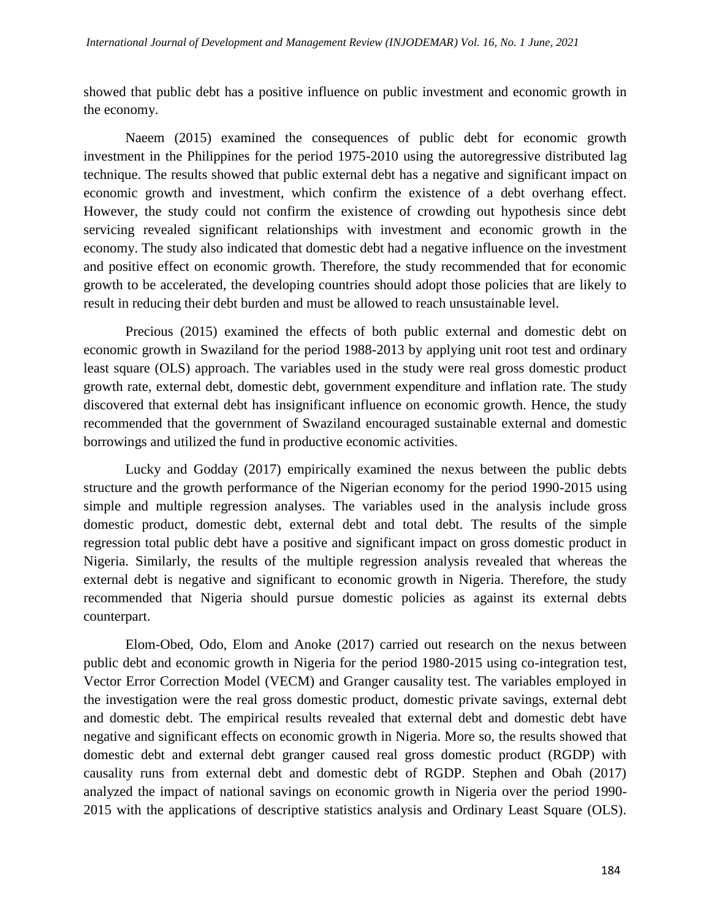showed that public debt has a positive influence on public investment and economic growth in the economy.

Naeem (2015) examined the consequences of public debt for economic growth investment in the Philippines for the period 1975-2010 using the autoregressive distributed lag technique. The results showed that public external debt has a negative and significant impact on economic growth and investment, which confirm the existence of a debt overhang effect. However, the study could not confirm the existence of crowding out hypothesis since debt servicing revealed significant relationships with investment and economic growth in the economy. The study also indicated that domestic debt had a negative influence on the investment and positive effect on economic growth. Therefore, the study recommended that for economic growth to be accelerated, the developing countries should adopt those policies that are likely to result in reducing their debt burden and must be allowed to reach unsustainable level.

Precious (2015) examined the effects of both public external and domestic debt on economic growth in Swaziland for the period 1988-2013 by applying unit root test and ordinary least square (OLS) approach. The variables used in the study were real gross domestic product growth rate, external debt, domestic debt, government expenditure and inflation rate. The study discovered that external debt has insignificant influence on economic growth. Hence, the study recommended that the government of Swaziland encouraged sustainable external and domestic borrowings and utilized the fund in productive economic activities.

Lucky and Godday (2017) empirically examined the nexus between the public debts structure and the growth performance of the Nigerian economy for the period 1990-2015 using simple and multiple regression analyses. The variables used in the analysis include gross domestic product, domestic debt, external debt and total debt. The results of the simple regression total public debt have a positive and significant impact on gross domestic product in Nigeria. Similarly, the results of the multiple regression analysis revealed that whereas the external debt is negative and significant to economic growth in Nigeria. Therefore, the study recommended that Nigeria should pursue domestic policies as against its external debts counterpart.

Elom-Obed, Odo, Elom and Anoke (2017) carried out research on the nexus between public debt and economic growth in Nigeria for the period 1980-2015 using co-integration test, Vector Error Correction Model (VECM) and Granger causality test. The variables employed in the investigation were the real gross domestic product, domestic private savings, external debt and domestic debt. The empirical results revealed that external debt and domestic debt have negative and significant effects on economic growth in Nigeria. More so, the results showed that domestic debt and external debt granger caused real gross domestic product (RGDP) with causality runs from external debt and domestic debt of RGDP. Stephen and Obah (2017) analyzed the impact of national savings on economic growth in Nigeria over the period 1990- 2015 with the applications of descriptive statistics analysis and Ordinary Least Square (OLS).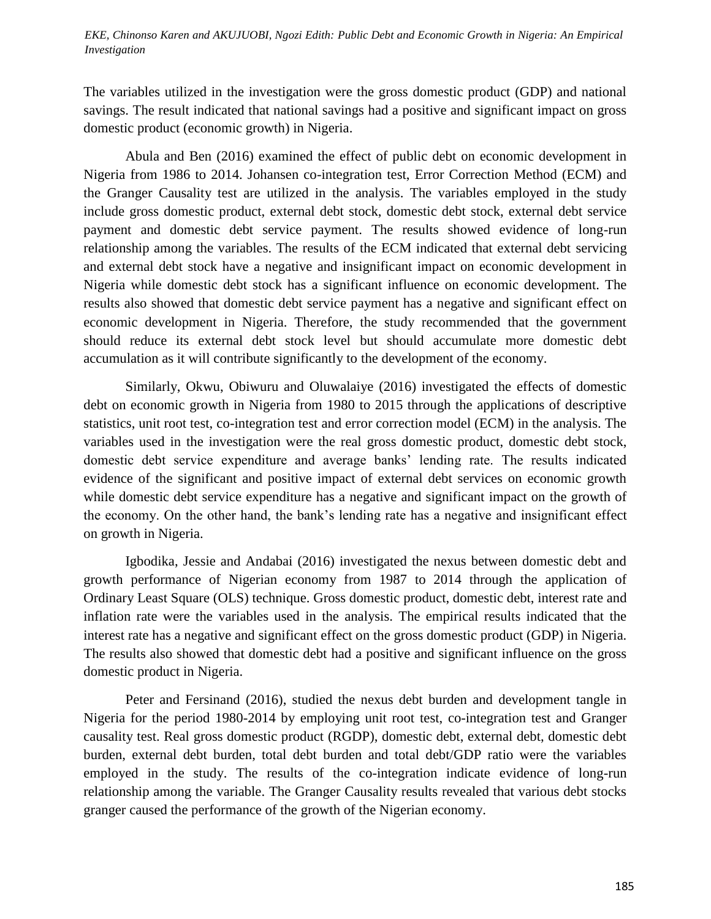### *Investigation EKE, Chinonso Karen and AKUJUOBI, Ngozi Edith: Public Debt and Economic Growth in Nigeria: An Empirical*

The variables utilized in the investigation were the gross domestic product (GDP) and national savings. The result indicated that national savings had a positive and significant impact on gross domestic product (economic growth) in Nigeria.

Abula and Ben (2016) examined the effect of public debt on economic development in Nigeria from 1986 to 2014. Johansen co-integration test, Error Correction Method (ECM) and the Granger Causality test are utilized in the analysis. The variables employed in the study include gross domestic product, external debt stock, domestic debt stock, external debt service payment and domestic debt service payment. The results showed evidence of long-run relationship among the variables. The results of the ECM indicated that external debt servicing and external debt stock have a negative and insignificant impact on economic development in Nigeria while domestic debt stock has a significant influence on economic development. The results also showed that domestic debt service payment has a negative and significant effect on economic development in Nigeria. Therefore, the study recommended that the government should reduce its external debt stock level but should accumulate more domestic debt accumulation as it will contribute significantly to the development of the economy.

Similarly, Okwu, Obiwuru and Oluwalaiye (2016) investigated the effects of domestic debt on economic growth in Nigeria from 1980 to 2015 through the applications of descriptive statistics, unit root test, co-integration test and error correction model (ECM) in the analysis. The variables used in the investigation were the real gross domestic product, domestic debt stock, domestic debt service expenditure and average banks' lending rate. The results indicated evidence of the significant and positive impact of external debt services on economic growth while domestic debt service expenditure has a negative and significant impact on the growth of the economy. On the other hand, the bank's lending rate has a negative and insignificant effect on growth in Nigeria.

Igbodika, Jessie and Andabai (2016) investigated the nexus between domestic debt and growth performance of Nigerian economy from 1987 to 2014 through the application of Ordinary Least Square (OLS) technique. Gross domestic product, domestic debt, interest rate and inflation rate were the variables used in the analysis. The empirical results indicated that the interest rate has a negative and significant effect on the gross domestic product (GDP) in Nigeria. The results also showed that domestic debt had a positive and significant influence on the gross domestic product in Nigeria.

Peter and Fersinand (2016), studied the nexus debt burden and development tangle in Nigeria for the period 1980-2014 by employing unit root test, co-integration test and Granger causality test. Real gross domestic product (RGDP), domestic debt, external debt, domestic debt burden, external debt burden, total debt burden and total debt/GDP ratio were the variables employed in the study. The results of the co-integration indicate evidence of long-run relationship among the variable. The Granger Causality results revealed that various debt stocks granger caused the performance of the growth of the Nigerian economy.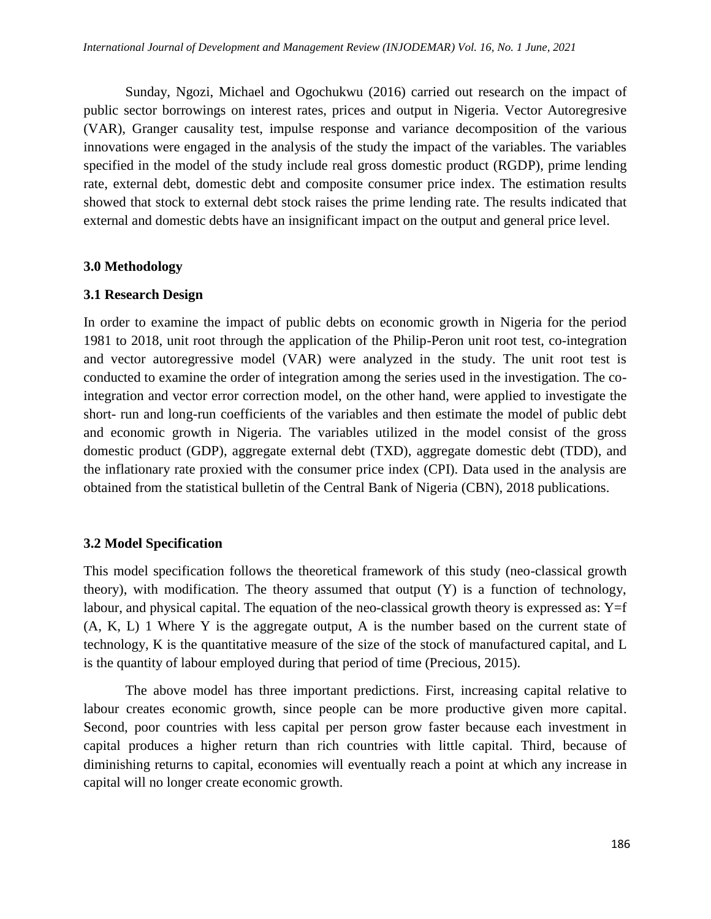Sunday, Ngozi, Michael and Ogochukwu (2016) carried out research on the impact of public sector borrowings on interest rates, prices and output in Nigeria. Vector Autoregresive (VAR), Granger causality test, impulse response and variance decomposition of the various innovations were engaged in the analysis of the study the impact of the variables. The variables specified in the model of the study include real gross domestic product (RGDP), prime lending rate, external debt, domestic debt and composite consumer price index. The estimation results showed that stock to external debt stock raises the prime lending rate. The results indicated that external and domestic debts have an insignificant impact on the output and general price level.

#### **3.0 Methodology**

#### **3.1 Research Design**

In order to examine the impact of public debts on economic growth in Nigeria for the period 1981 to 2018, unit root through the application of the Philip-Peron unit root test, co-integration and vector autoregressive model (VAR) were analyzed in the study. The unit root test is conducted to examine the order of integration among the series used in the investigation. The cointegration and vector error correction model, on the other hand, were applied to investigate the short- run and long-run coefficients of the variables and then estimate the model of public debt and economic growth in Nigeria. The variables utilized in the model consist of the gross domestic product (GDP), aggregate external debt (TXD), aggregate domestic debt (TDD), and the inflationary rate proxied with the consumer price index (CPI). Data used in the analysis are obtained from the statistical bulletin of the Central Bank of Nigeria (CBN), 2018 publications.

### **3.2 Model Specification**

This model specification follows the theoretical framework of this study (neo-classical growth theory), with modification. The theory assumed that output (Y) is a function of technology, labour, and physical capital. The equation of the neo-classical growth theory is expressed as:  $Y=f$ (A, K, L) 1 Where Y is the aggregate output, A is the number based on the current state of technology, K is the quantitative measure of the size of the stock of manufactured capital, and L is the quantity of labour employed during that period of time (Precious, 2015).

The above model has three important predictions. First, increasing capital relative to labour creates economic growth, since people can be more productive given more capital. Second, poor countries with less capital per person grow faster because each investment in capital produces a higher return than rich countries with little capital. Third, because of diminishing returns to capital, economies will eventually reach a point at which any increase in capital will no longer create economic growth.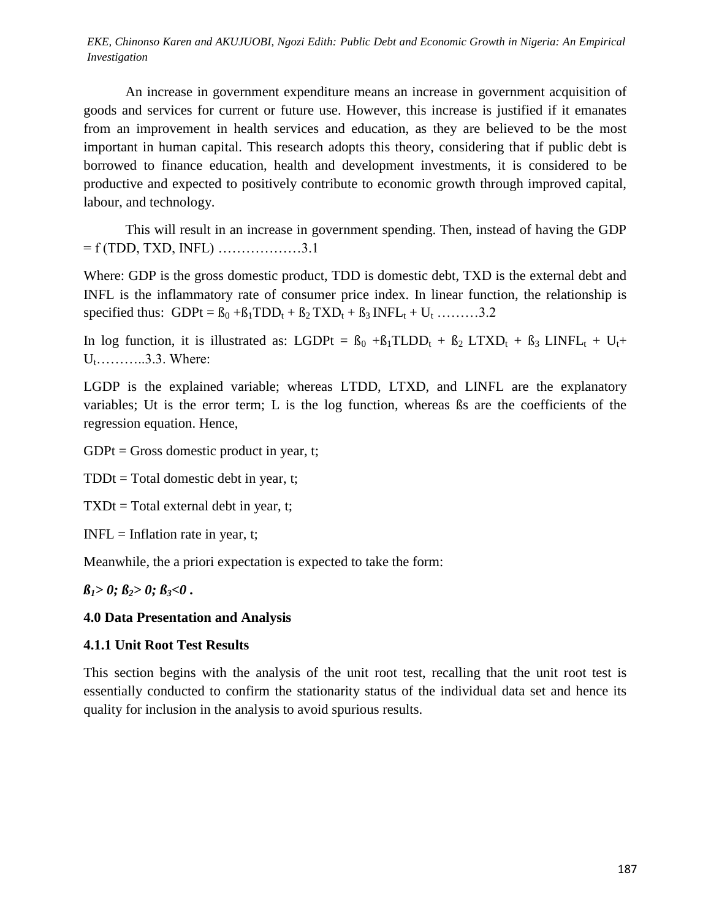EKE, Chinonso Karen and AKUJUOBI, Ngozi Edith: Public Debt and Economic Growth in Nigeria: An Empirical *Investigation*

An increase in government expenditure means an increase in government acquisition of goods and services for current or future use. However, this increase is justified if it emanates from an improvement in health services and education, as they are believed to be the most important in human capital. This research adopts this theory, considering that if public debt is borrowed to finance education, health and development investments, it is considered to be productive and expected to positively contribute to economic growth through improved capital, labour, and technology.

This will result in an increase in government spending. Then, instead of having the GDP  $= f(TDD, TXD, INFL)$  ..................3.1

Where: GDP is the gross domestic product, TDD is domestic debt, TXD is the external debt and INFL is the inflammatory rate of consumer price index. In linear function, the relationship is specified thus: GDPt =  $\beta_0 + \beta_1 TDD_t + \beta_2 TXD_t + \beta_3 INFL_t + U_t$  ………3.2

In log function, it is illustrated as: LGDPt =  $B_0$  + $B_1$ TLDD<sub>t</sub> +  $B_2$  LTXD<sub>t</sub> +  $B_3$  LINFL<sub>t</sub> + U<sub>t</sub>+  $U_1$ ………..3.3. Where:

LGDP is the explained variable; whereas LTDD, LTXD, and LINFL are the explanatory variables; Ut is the error term; L is the log function, whereas ßs are the coefficients of the regression equation. Hence,

 $GDPt = Gross$  domestic product in year, t;

 $TDDt = Total domestic debt in year, t;$ 

 $TXDt = Total external debt in year, t;$ 

 $INFL = Inflation rate in year, t;$ 

Meanwhile, the a priori expectation is expected to take the form:

## $\beta_1$ *> 0;*  $\beta_2$ *> 0;*  $\beta_3$ *<0.*

### **4.0 Data Presentation and Analysis**

## **4.1.1 Unit Root Test Results**

This section begins with the analysis of the unit root test, recalling that the unit root test is essentially conducted to confirm the stationarity status of the individual data set and hence its quality for inclusion in the analysis to avoid spurious results.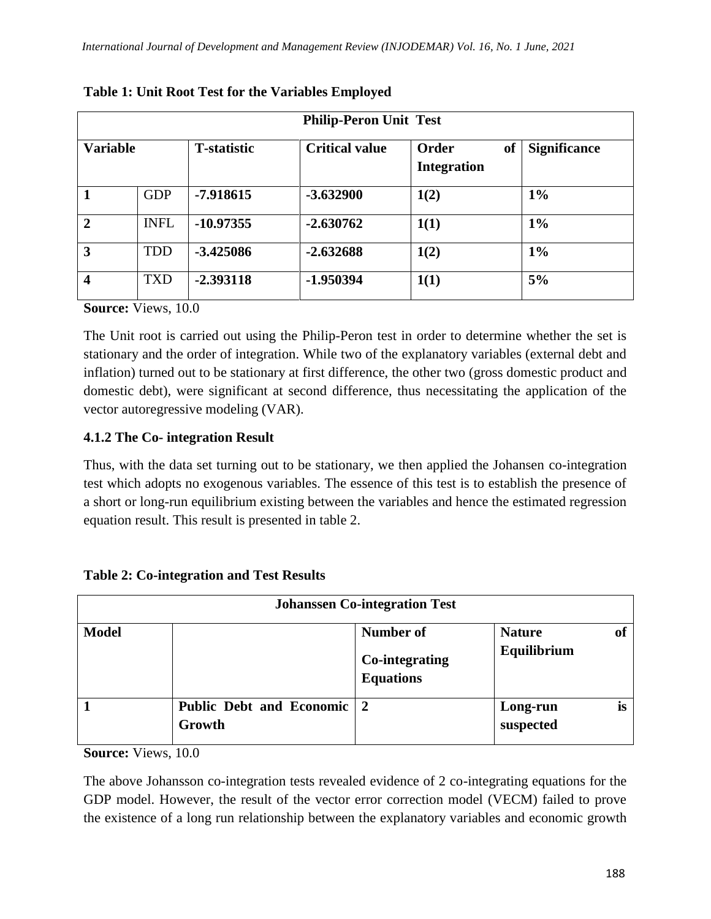| <b>Philip-Peron Unit Test</b> |             |                     |                       |                                              |                     |  |  |  |  |
|-------------------------------|-------------|---------------------|-----------------------|----------------------------------------------|---------------------|--|--|--|--|
| <b>Variable</b>               |             | <b>T</b> -statistic | <b>Critical value</b> | Order<br><sub>of</sub><br><b>Integration</b> | <b>Significance</b> |  |  |  |  |
| $\mathbf{1}$                  | <b>GDP</b>  | -7.918615           | $-3.632900$           | 1(2)                                         | $1\%$               |  |  |  |  |
| $\overline{2}$                | <b>INFL</b> | $-10.97355$         | $-2.630762$           | 1(1)                                         | $1\%$               |  |  |  |  |
| $\overline{3}$                | <b>TDD</b>  | $-3.425086$         | $-2.632688$           | 1(2)                                         | $1\%$               |  |  |  |  |
| $\overline{\mathbf{4}}$       | <b>TXD</b>  | $-2.393118$         | -1.950394             | 1(1)                                         | 5%                  |  |  |  |  |

**Table 1: Unit Root Test for the Variables Employed**

**Source:** Views, 10.0

The Unit root is carried out using the Philip-Peron test in order to determine whether the set is stationary and the order of integration. While two of the explanatory variables (external debt and inflation) turned out to be stationary at first difference, the other two (gross domestic product and domestic debt), were significant at second difference, thus necessitating the application of the vector autoregressive modeling (VAR).

# **4.1.2 The Co- integration Result**

Thus, with the data set turning out to be stationary, we then applied the Johansen co-integration test which adopts no exogenous variables. The essence of this test is to establish the presence of a short or long-run equilibrium existing between the variables and hence the estimated regression equation result. This result is presented in table 2.

| <b>Johanssen Co-integration Test</b> |                                      |                                                        |                              |           |  |  |  |  |
|--------------------------------------|--------------------------------------|--------------------------------------------------------|------------------------------|-----------|--|--|--|--|
| <b>Model</b>                         |                                      | Number of<br><b>Co-integrating</b><br><b>Equations</b> | <b>Nature</b><br>Equilibrium | <b>of</b> |  |  |  |  |
|                                      | Public Debt and Economic 2<br>Growth |                                                        | Long-run<br>suspected        | is        |  |  |  |  |

**Table 2: Co-integration and Test Results**

**Source:** Views, 10.0

The above Johansson co-integration tests revealed evidence of 2 co-integrating equations for the GDP model. However, the result of the vector error correction model (VECM) failed to prove the existence of a long run relationship between the explanatory variables and economic growth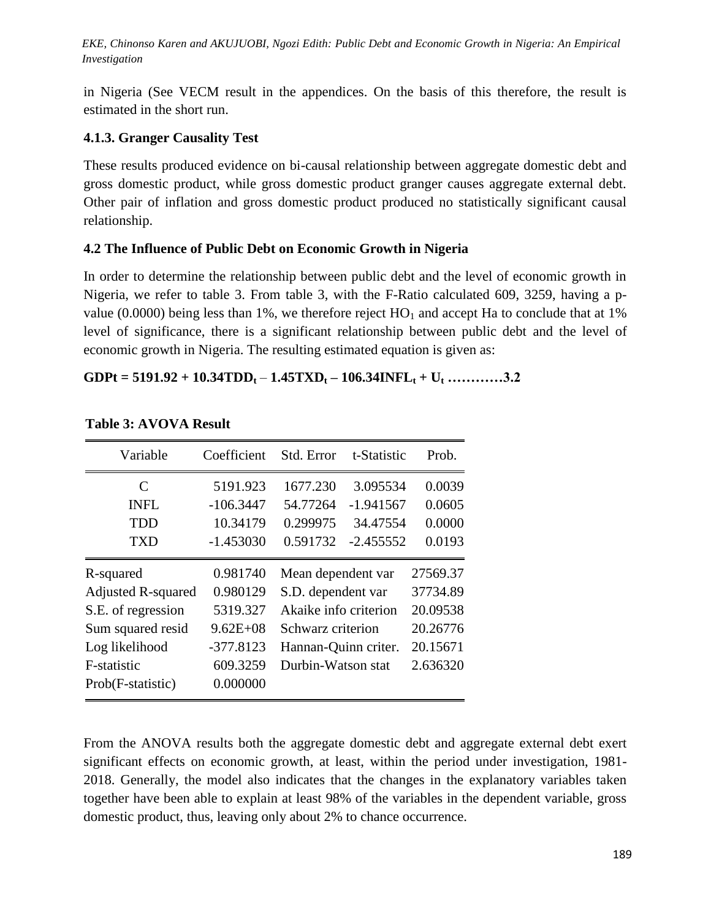EKE, Chinonso Karen and AKUJUOBI, Ngozi Edith: Public Debt and Economic Growth in Nigeria: An Empirical *Investigation*

in Nigeria (See VECM result in the appendices. On the basis of this therefore, the result is estimated in the short run.

# **4.1.3. Granger Causality Test**

These results produced evidence on bi-causal relationship between aggregate domestic debt and gross domestic product, while gross domestic product granger causes aggregate external debt. Other pair of inflation and gross domestic product produced no statistically significant causal relationship.

# **4.2 The Influence of Public Debt on Economic Growth in Nigeria**

In order to determine the relationship between public debt and the level of economic growth in Nigeria, we refer to table 3. From table 3, with the F-Ratio calculated 609, 3259, having a pvalue (0.0000) being less than 1%, we therefore reject  $HO_1$  and accept Ha to conclude that at 1% level of significance, there is a significant relationship between public debt and the level of economic growth in Nigeria. The resulting estimated equation is given as:

# $GDPt = 5191.92 + 10.34TDD_t - 1.45TXD_t - 106.34INFL_t + U_t$  ............3.2

| Variable                    | Coefficient  | Std. Error            | t-Statistic | Prob.    |
|-----------------------------|--------------|-----------------------|-------------|----------|
| $\mathcal{C}_{\mathcal{C}}$ | 5191.923     | 1677.230              | 3.095534    | 0.0039   |
| <b>INFL</b>                 | $-106.3447$  | 54.77264              | $-1.941567$ | 0.0605   |
| TDD                         | 10.34179     | 0.299975              | 34.47554    | 0.0000   |
| <b>TXD</b>                  | $-1.453030$  | 0.591732              | $-2.455552$ | 0.0193   |
| R-squared                   | 0.981740     | Mean dependent var    |             | 27569.37 |
| <b>Adjusted R-squared</b>   | 0.980129     | S.D. dependent var    |             | 37734.89 |
| S.E. of regression          | 5319.327     | Akaike info criterion |             | 20.09538 |
| Sum squared resid           | $9.62E + 08$ | Schwarz criterion     |             | 20.26776 |
| Log likelihood              | $-377.8123$  | Hannan-Quinn criter.  |             | 20.15671 |
| F-statistic                 | 609.3259     | Durbin-Watson stat    |             | 2.636320 |
| Prob(F-statistic)           | 0.000000     |                       |             |          |

## **Table 3: AVOVA Result**

From the ANOVA results both the aggregate domestic debt and aggregate external debt exert significant effects on economic growth, at least, within the period under investigation, 1981- 2018. Generally, the model also indicates that the changes in the explanatory variables taken together have been able to explain at least 98% of the variables in the dependent variable, gross domestic product, thus, leaving only about 2% to chance occurrence.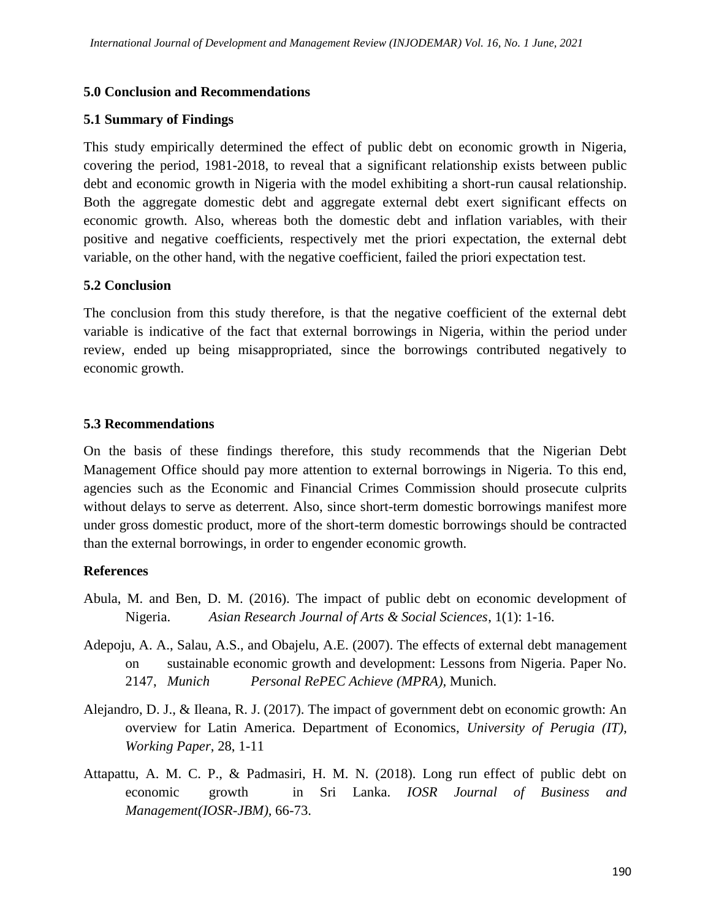## **5.0 Conclusion and Recommendations**

## **5.1 Summary of Findings**

This study empirically determined the effect of public debt on economic growth in Nigeria, covering the period, 1981-2018, to reveal that a significant relationship exists between public debt and economic growth in Nigeria with the model exhibiting a short-run causal relationship. Both the aggregate domestic debt and aggregate external debt exert significant effects on economic growth. Also, whereas both the domestic debt and inflation variables, with their positive and negative coefficients, respectively met the priori expectation, the external debt variable, on the other hand, with the negative coefficient, failed the priori expectation test.

## **5.2 Conclusion**

The conclusion from this study therefore, is that the negative coefficient of the external debt variable is indicative of the fact that external borrowings in Nigeria, within the period under review, ended up being misappropriated, since the borrowings contributed negatively to economic growth.

# **5.3 Recommendations**

On the basis of these findings therefore, this study recommends that the Nigerian Debt Management Office should pay more attention to external borrowings in Nigeria. To this end, agencies such as the Economic and Financial Crimes Commission should prosecute culprits without delays to serve as deterrent. Also, since short-term domestic borrowings manifest more under gross domestic product, more of the short-term domestic borrowings should be contracted than the external borrowings, in order to engender economic growth.

## **References**

- Abula, M. and Ben, D. M. (2016). The impact of public debt on economic development of Nigeria. *Asian Research Journal of Arts & Social Sciences*, 1(1): 1-16.
- Adepoju, A. A., Salau, A.S., and Obajelu, A.E. (2007). The effects of external debt management on sustainable economic growth and development: Lessons from Nigeria. Paper No. 2147, *Munich Personal RePEC Achieve (MPRA),* Munich.
- Alejandro, D. J., & Ileana, R. J. (2017). The impact of government debt on economic growth: An overview for Latin America. Department of Economics, *University of Perugia (IT)*, *Working Paper*, 28, 1-11
- Attapattu, A. M. C. P., & Padmasiri, H. M. N. (2018). Long run effect of public debt on economic growth in Sri Lanka. *IOSR Journal of Business and Management(IOSR-JBM),* 66-73.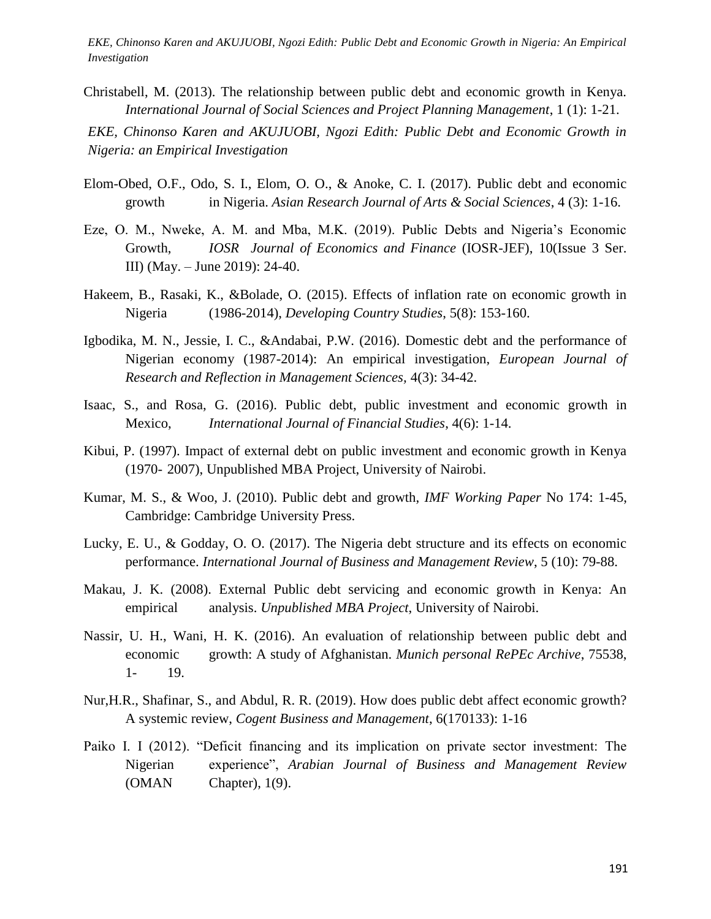EKE, Chinonso Karen and AKUJUOBI, Ngozi Edith: Public Debt and Economic Growth in Nigeria: An Empirical *Investigation*

Christabell, M. (2013). The relationship between public debt and economic growth in Kenya. *International Journal of Social Sciences and Project Planning Management*, 1 (1): 1-21.

EKE, Chinonso Karen and AKUJUOBI, Ngozi Edith: Public Debt and Economic Growth in *Review*, 1126-1150. *Nigeria: an Empirical Investigation*

- Elom-Obed, O.F., Odo, S. I., Elom, O. O., & Anoke, C. I. (2017). Public debt and economic growth in Nigeria. *Asian Research Journal of Arts & Social Sciences*, 4 (3): 1-16.
- Eze, O. M., Nweke, A. M. and Mba, M.K. (2019). Public Debts and Nigeria's Economic Growth, *IOSR Journal of Economics and Finance* (IOSR-JEF), 10(Issue 3 Ser. III) (May. – June 2019): 24-40.
- Hakeem, B., Rasaki, K., &Bolade, O. (2015). Effects of inflation rate on economic growth in Nigeria (1986-2014), *Developing Country Studies*, 5(8): 153-160.
- Igbodika, M. N., Jessie, I. C., &Andabai, P.W. (2016). Domestic debt and the performance of Nigerian economy (1987-2014): An empirical investigation, *European Journal of Research and Reflection in Management Sciences,* 4(3): 34-42.
- Isaac, S., and Rosa, G. (2016). Public debt, public investment and economic growth in Mexico, *International Journal of Financial Studies*, 4(6): 1-14.
- Kibui, P. (1997). Impact of external debt on public investment and economic growth in Kenya (1970- 2007), Unpublished MBA Project, University of Nairobi.
- Kumar, M. S., & Woo, J. (2010). Public debt and growth, *IMF Working Paper* No 174: 1-45, Cambridge: Cambridge University Press.
- Lucky, E. U., & Godday, O. O. (2017). The Nigeria debt structure and its effects on economic performance. *International Journal of Business and Management Review*, 5 (10): 79-88.
- Makau, J. K. (2008). External Public debt servicing and economic growth in Kenya: An empirical analysis. *Unpublished MBA Project*, University of Nairobi.
- Nassir, U. H., Wani, H. K. (2016). An evaluation of relationship between public debt and economic growth: A study of Afghanistan. *Munich personal RePEc Archive*, 75538, 1- 19.
- Nur,H.R., Shafinar, S., and Abdul, R. R. (2019). How does public debt affect economic growth? A systemic review, *Cogent Business and Management*, 6(170133): 1-16
- Paiko I. I (2012). "Deficit financing and its implication on private sector investment: The Nigerian experience", *Arabian Journal of Business and Management Review* (OMAN Chapter), 1(9).